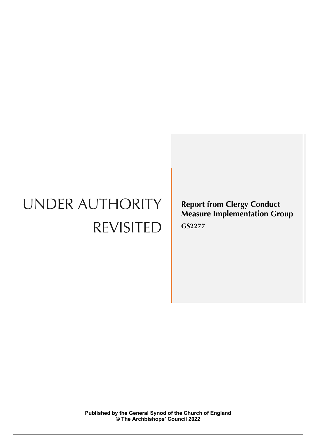# UNDER AUTHORITY REVISITED

**Report from Clergy Conduct Measure Implementation Group GS2277**

**Published by the General Synod of the Church of England © The Archbishops' Council 2022**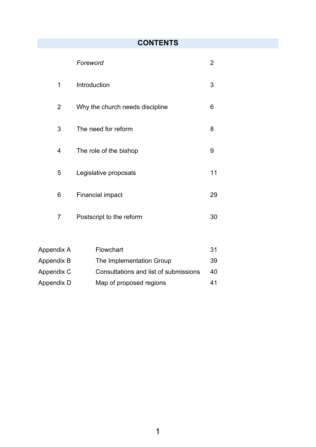# **CONTENTS**

|   | Foreword                        | 2  |
|---|---------------------------------|----|
| 1 | Introduction                    | 3  |
| 2 | Why the church needs discipline | 6  |
| 3 | The need for reform             | 8  |
| 4 | The role of the bishop          | 9  |
| 5 | Legislative proposals           | 11 |
| 6 | <b>Financial impact</b>         | 29 |
| 7 | Postscript to the reform        | 30 |

| Appendix A | <b>Flowchart</b>                      | -31 |
|------------|---------------------------------------|-----|
| Appendix B | The Implementation Group              | 39  |
| Appendix C | Consultations and list of submissions | 40  |
| Appendix D | Map of proposed regions               | 41  |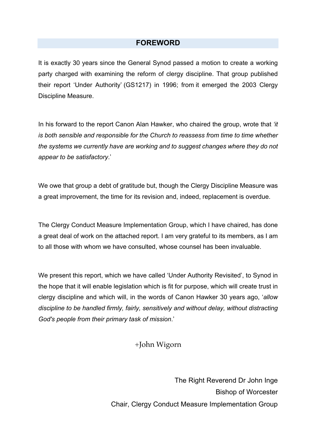## **FOREWORD**

It is exactly 30 years since the General Synod passed a motion to create a working party charged with examining the reform of clergy discipline. That group published their report 'Under Authority' (GS1217) in 1996; from it emerged the 2003 Clergy Discipline Measure.

In his forward to the report Canon Alan Hawker, who chaired the group, wrote that *'it is both sensible and responsible for the Church to reassess from time to time whether the systems we currently have are working and to suggest changes where they do not appear to be satisfactory*.'

We owe that group a debt of gratitude but, though the Clergy Discipline Measure was a great improvement, the time for its revision and, indeed, replacement is overdue.

The Clergy Conduct Measure Implementation Group, which I have chaired, has done a great deal of work on the attached report. I am very grateful to its members, as I am to all those with whom we have consulted, whose counsel has been invaluable.

We present this report, which we have called 'Under Authority Revisited', to Synod in the hope that it will enable legislation which is fit for purpose, which will create trust in clergy discipline and which will, in the words of Canon Hawker 30 years ago, '*allow discipline to be handled firmly, fairly, sensitively and without delay, without distracting God's people from their primary task of mission*.'

## +John Wigorn

The Right Reverend Dr John Inge Bishop of Worcester Chair, Clergy Conduct Measure Implementation Group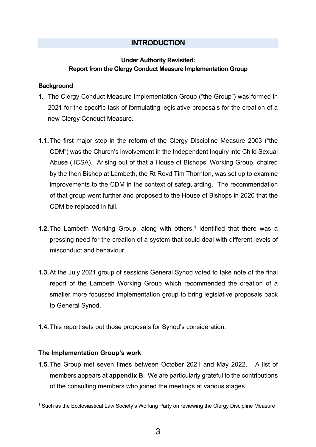## **INTRODUCTION**

## **Under Authority Revisited: Report from the Clergy Conduct Measure Implementation Group**

## **Background**

- **1.** The Clergy Conduct Measure Implementation Group ("the Group") was formed in 2021 for the specific task of formulating legislative proposals for the creation of a new Clergy Conduct Measure.
- **1.1.**The first major step in the reform of the Clergy Discipline Measure 2003 ("the CDM") was the Church's involvement in the Independent Inquiry into Child Sexual Abuse (IICSA). Arising out of that a House of Bishops' Working Group, chaired by the then Bishop at Lambeth, the Rt Revd Tim Thornton, was set up to examine improvements to the CDM in the context of safeguarding. The recommendation of that group went further and proposed to the House of Bishops in 2020 that the CDM be replaced in full.
- **1.2.**The Lambeth Working Group, along with others, <sup>1</sup> identified that there was a pressing need for the creation of a system that could deal with different levels of misconduct and behaviour.
- **1.3.**At the July 2021 group of sessions General Synod voted to take note of the final report of the Lambeth Working Group which recommended the creation of a smaller more focussed implementation group to bring legislative proposals back to General Synod.
- **1.4.**This report sets out those proposals for Synod's consideration.

## **The Implementation Group's work**

**1.5.**The Group met seven times between October 2021 and May 2022. A list of members appears at **appendix B**. We are particularly grateful to the contributions of the consulting members who joined the meetings at various stages.

<sup>&</sup>lt;sup>1</sup> Such as the Ecclesiastical Law Society's Working Party on reviewing the Clergy Discipline Measure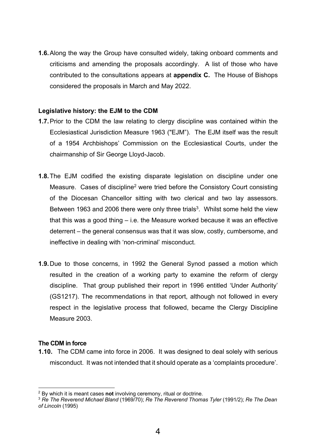**1.6.**Along the way the Group have consulted widely, taking onboard comments and criticisms and amending the proposals accordingly. A list of those who have contributed to the consultations appears at **appendix C.** The House of Bishops considered the proposals in March and May 2022.

#### **Legislative history: the EJM to the CDM**

- **1.7.**Prior to the CDM the law relating to clergy discipline was contained within the Ecclesiastical Jurisdiction Measure 1963 ("EJM"). The EJM itself was the result of a 1954 Archbishops' Commission on the Ecclesiastical Courts, under the chairmanship of Sir George Lloyd-Jacob.
- **1.8.**The EJM codified the existing disparate legislation on discipline under one Measure. Cases of discipline<sup>2</sup> were tried before the Consistory Court consisting of the Diocesan Chancellor sitting with two clerical and two lay assessors. Between 1963 and 2006 there were only three trials<sup>3</sup>. Whilst some held the view that this was a good thing – i.e. the Measure worked because it was an effective deterrent – the general consensus was that it was slow, costly, cumbersome, and ineffective in dealing with 'non-criminal' misconduct.
- **1.9.**Due to those concerns, in 1992 the General Synod passed a motion which resulted in the creation of a working party to examine the reform of clergy discipline. That group published their report in 1996 entitled 'Under Authority' (GS1217). The recommendations in that report, although not followed in every respect in the legislative process that followed, became the Clergy Discipline Measure 2003.

#### **The CDM in force**

**1.10.** The CDM came into force in 2006. It was designed to deal solely with serious misconduct. It was not intended that it should operate as a 'complaints procedure'.

<sup>2</sup> By which it is meant cases **not** involving ceremony, ritual or doctrine.

<sup>3</sup> *Re The Reverend Michael Bland* (1969/70); *Re The Reverend Thomas Tyler* (1991/2); *Re The Dean of Lincoln* (1995)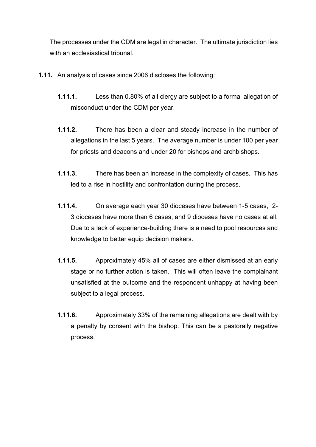The processes under the CDM are legal in character. The ultimate jurisdiction lies with an ecclesiastical tribunal.

- **1.11.** An analysis of cases since 2006 discloses the following:
	- **1.11.1.** Less than 0.80% of all clergy are subject to a formal allegation of misconduct under the CDM per year.
	- **1.11.2.** There has been a clear and steady increase in the number of allegations in the last 5 years. The average number is under 100 per year for priests and deacons and under 20 for bishops and archbishops.
	- **1.11.3.** There has been an increase in the complexity of cases. This has led to a rise in hostility and confrontation during the process.
	- **1.11.4.** On average each year 30 dioceses have between 1-5 cases, 2- 3 dioceses have more than 6 cases, and 9 dioceses have no cases at all. Due to a lack of experience-building there is a need to pool resources and knowledge to better equip decision makers.
	- **1.11.5.** Approximately 45% all of cases are either dismissed at an early stage or no further action is taken. This will often leave the complainant unsatisfied at the outcome and the respondent unhappy at having been subject to a legal process.
	- **1.11.6.** Approximately 33% of the remaining allegations are dealt with by a penalty by consent with the bishop. This can be a pastorally negative process.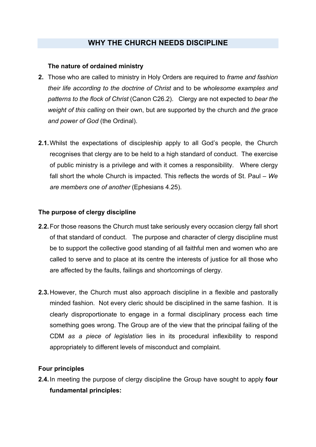## **WHY THE CHURCH NEEDS DISCIPLINE**

## **The nature of ordained ministry**

- **2.** Those who are called to ministry in Holy Orders are required to *frame and fashion their life according to the doctrine of Christ* and to be *wholesome examples and patterns to the flock of Christ* (Canon C26.2). Clergy are not expected to *bear the weight of this calling* on their own, but are supported by the church and *the grace and power of God* (the Ordinal).
- **2.1.**Whilst the expectations of discipleship apply to all God's people, the Church recognises that clergy are to be held to a high standard of conduct. The exercise of public ministry is a privilege and with it comes a responsibility. Where clergy fall short the whole Church is impacted. This reflects the words of St. Paul – *We are members one of another* (Ephesians 4.25).

## **The purpose of clergy discipline**

- **2.2.**For those reasons the Church must take seriously every occasion clergy fall short of that standard of conduct. The purpose and character of clergy discipline must be to support the collective good standing of all faithful men and women who are called to serve and to place at its centre the interests of justice for all those who are affected by the faults, failings and shortcomings of clergy.
- **2.3.**However, the Church must also approach discipline in a flexible and pastorally minded fashion. Not every cleric should be disciplined in the same fashion. It is clearly disproportionate to engage in a formal disciplinary process each time something goes wrong. The Group are of the view that the principal failing of the CDM *as a piece of legislation* lies in its procedural inflexibility to respond appropriately to different levels of misconduct and complaint.

## **Four principles**

**2.4.**In meeting the purpose of clergy discipline the Group have sought to apply **four fundamental principles:**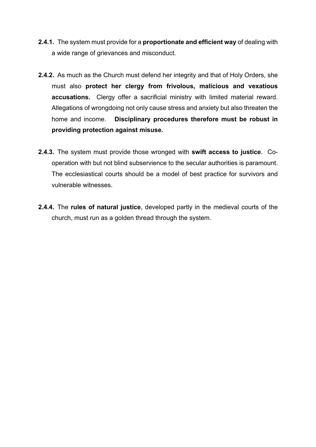- **2.4.1.** The system must provide for a **proportionate and efficient way** of dealing with a wide range of grievances and misconduct.
- **2.4.2.** As much as the Church must defend her integrity and that of Holy Orders, she must also **protect her clergy from frivolous, malicious and vexatious accusations.** Clergy offer a sacrificial ministry with limited material reward. Allegations of wrongdoing not only cause stress and anxiety but also threaten the home and income. **Disciplinary procedures therefore must be robust in providing protection against misuse.**
- **2.4.3.** The system must provide those wronged with **swift access to justice**. Cooperation with but not blind subservience to the secular authorities is paramount. The ecclesiastical courts should be a model of best practice for survivors and vulnerable witnesses.
- **2.4.4.** The **rules of natural justice**, developed partly in the medieval courts of the church, must run as a golden thread through the system.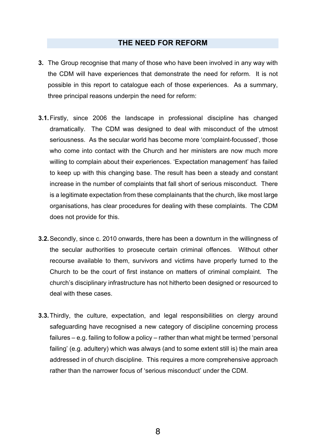## **THE NEED FOR REFORM**

- **3.** The Group recognise that many of those who have been involved in any way with the CDM will have experiences that demonstrate the need for reform. It is not possible in this report to catalogue each of those experiences. As a summary, three principal reasons underpin the need for reform:
- **3.1.**Firstly, since 2006 the landscape in professional discipline has changed dramatically. The CDM was designed to deal with misconduct of the utmost seriousness. As the secular world has become more 'complaint-focussed', those who come into contact with the Church and her ministers are now much more willing to complain about their experiences. 'Expectation management' has failed to keep up with this changing base. The result has been a steady and constant increase in the number of complaints that fall short of serious misconduct. There is a legitimate expectation from these complainants that the church, like most large organisations, has clear procedures for dealing with these complaints. The CDM does not provide for this.
- **3.2.**Secondly, since c. 2010 onwards, there has been a downturn in the willingness of the secular authorities to prosecute certain criminal offences. Without other recourse available to them, survivors and victims have properly turned to the Church to be the court of first instance on matters of criminal complaint. The church's disciplinary infrastructure has not hitherto been designed or resourced to deal with these cases.
- **3.3.**Thirdly, the culture, expectation, and legal responsibilities on clergy around safeguarding have recognised a new category of discipline concerning process failures – e.g. failing to follow a policy – rather than what might be termed 'personal failing' (e.g. adultery) which was always (and to some extent still is) the main area addressed in of church discipline. This requires a more comprehensive approach rather than the narrower focus of 'serious misconduct' under the CDM.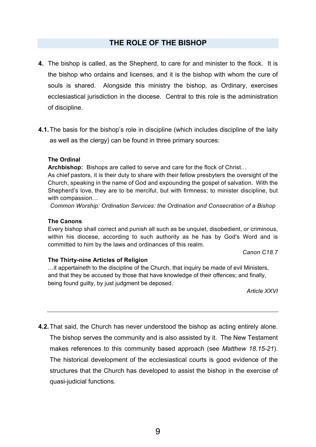## **THE ROLE OF THE BISHOP**

- **4.** The bishop is called, as the Shepherd, to care for and minister to the flock. It is the bishop who ordains and licenses, and it is the bishop with whom the cure of souls is shared. Alongside this ministry the bishop, as Ordinary, exercises ecclesiastical jurisdiction in the diocese. Central to this role is the administration of discipline.
- **4.1.**The basis for the bishop's role in discipline (which includes discipline of the laity as well as the clergy) can be found in three primary sources:

#### **The Ordinal**

**Archbishop:** Bishops are called to serve and care for the flock of Christ…

As chief pastors, it is their duty to share with their fellow presbyters the oversight of the Church, speaking in the name of God and expounding the gospel of salvation. With the Shepherd's love, they are to be merciful, but with firmness; to minister discipline, but with compassion…

*Common Worship: Ordination Services: the Ordination and Consecration of a Bishop*

#### **The Canons**

Every bishop shall correct and punish all such as be unquiet, disobedient, or criminous, within his diocese, according to such authority as he has by God's Word and is committed to him by the laws and ordinances of this realm.

*Canon C18.7*

#### **The Thirty-nine Articles of Religion**

…it appertaineth to the discipline of the Church, that inquiry be made of evil Ministers, and that they be accused by those that have knowledge of their offences; and finally, being found guilty, by just judgment be deposed.

*Article XXVI*

**4.2.**That said, the Church has never understood the bishop as acting entirely alone. The bishop serves the community and is also assisted by it. The New Testament makes references to this community based approach (see *Matthew 18.15-21*). The historical development of the ecclesiastical courts is good evidence of the structures that the Church has developed to assist the bishop in the exercise of quasi-judicial functions.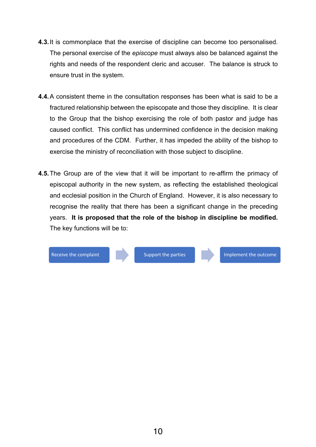- **4.3.**It is commonplace that the exercise of discipline can become too personalised. The personal exercise of the *episcope* must always also be balanced against the rights and needs of the respondent cleric and accuser. The balance is struck to ensure trust in the system.
- **4.4.**A consistent theme in the consultation responses has been what is said to be a fractured relationship between the episcopate and those they discipline. It is clear to the Group that the bishop exercising the role of both pastor and judge has caused conflict. This conflict has undermined confidence in the decision making and procedures of the CDM. Further, it has impeded the ability of the bishop to exercise the ministry of reconciliation with those subject to discipline.
- **4.5.**The Group are of the view that it will be important to re-affirm the primacy of episcopal authority in the new system, as reflecting the established theological and ecclesial position in the Church of England. However, it is also necessary to recognise the reality that there has been a significant change in the preceding years. **It is proposed that the role of the bishop in discipline be modified.**  The key functions will be to:

Receive the complaint Support the parties Inc. Support the parties Implement the outcome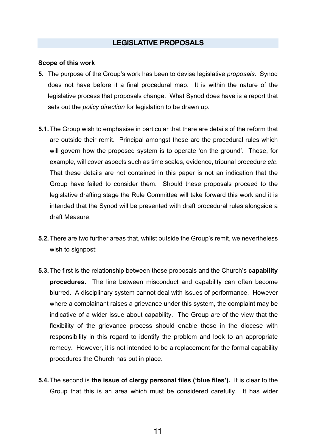## **LEGISLATIVE PROPOSALS**

#### **Scope of this work**

- **5.** The purpose of the Group's work has been to devise legislative *proposals*. Synod does not have before it a final procedural map. It is within the nature of the legislative process that proposals change. What Synod does have is a report that sets out the *policy direction* for legislation to be drawn up.
- **5.1.**The Group wish to emphasise in particular that there are details of the reform that are outside their remit. Principal amongst these are the procedural rules which will govern how the proposed system is to operate 'on the ground'. These, for example, will cover aspects such as time scales, evidence, tribunal procedure *etc*. That these details are not contained in this paper is not an indication that the Group have failed to consider them. Should these proposals proceed to the legislative drafting stage the Rule Committee will take forward this work and it is intended that the Synod will be presented with draft procedural rules alongside a draft Measure.
- **5.2.**There are two further areas that, whilst outside the Group's remit, we nevertheless wish to signpost:
- **5.3.**The first is the relationship between these proposals and the Church's **capability procedures.** The line between misconduct and capability can often become blurred. A disciplinary system cannot deal with issues of performance. However where a complainant raises a grievance under this system, the complaint may be indicative of a wider issue about capability. The Group are of the view that the flexibility of the grievance process should enable those in the diocese with responsibility in this regard to identify the problem and look to an appropriate remedy. However, it is not intended to be a replacement for the formal capability procedures the Church has put in place.
- **5.4.**The second is **the issue of clergy personal files ('blue files').** It is clear to the Group that this is an area which must be considered carefully. It has wider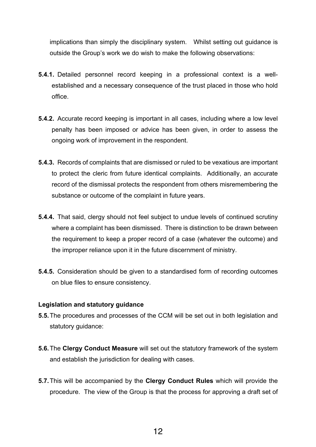implications than simply the disciplinary system. Whilst setting out guidance is outside the Group's work we do wish to make the following observations:

- **5.4.1.** Detailed personnel record keeping in a professional context is a wellestablished and a necessary consequence of the trust placed in those who hold office.
- **5.4.2.** Accurate record keeping is important in all cases, including where a low level penalty has been imposed or advice has been given, in order to assess the ongoing work of improvement in the respondent.
- **5.4.3.** Records of complaints that are dismissed or ruled to be vexatious are important to protect the cleric from future identical complaints. Additionally, an accurate record of the dismissal protects the respondent from others misremembering the substance or outcome of the complaint in future years.
- **5.4.4.** That said, clergy should not feel subject to undue levels of continued scrutiny where a complaint has been dismissed. There is distinction to be drawn between the requirement to keep a proper record of a case (whatever the outcome) and the improper reliance upon it in the future discernment of ministry.
- **5.4.5.** Consideration should be given to a standardised form of recording outcomes on blue files to ensure consistency.

#### **Legislation and statutory guidance**

- **5.5.**The procedures and processes of the CCM will be set out in both legislation and statutory guidance:
- **5.6.**The **Clergy Conduct Measure** will set out the statutory framework of the system and establish the jurisdiction for dealing with cases.
- **5.7.**This will be accompanied by the **Clergy Conduct Rules** which will provide the procedure. The view of the Group is that the process for approving a draft set of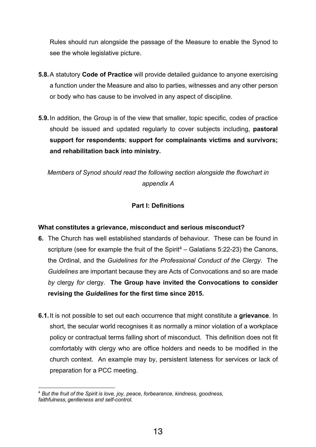Rules should run alongside the passage of the Measure to enable the Synod to see the whole legislative picture.

- **5.8.**A statutory **Code of Practice** will provide detailed guidance to anyone exercising a function under the Measure and also to parties, witnesses and any other person or body who has cause to be involved in any aspect of discipline.
- **5.9.**In addition, the Group is of the view that smaller, topic specific, codes of practice should be issued and updated regularly to cover subjects including, **pastoral support for respondents**; **support for complainants victims and survivors; and rehabilitation back into ministry.**

*Members of Synod should read the following section alongside the flowchart in appendix A*

## **Part I: Definitions**

## **What constitutes a grievance, misconduct and serious misconduct?**

- **6.** The Church has well established standards of behaviour. These can be found in scripture (see for example the fruit of the Spirit<sup>4</sup> – Galatians 5:22-23) the Canons, the Ordinal, and the *Guidelines for the Professional Conduct of the Clergy*. The *Guidelines* are important because they are Acts of Convocations and so are made *by* clergy *for* clergy. **The Group have invited the Convocations to consider revising the** *Guidelines* **for the first time since 2015.**
- **6.1.**It is not possible to set out each occurrence that might constitute a **grievance**. In short, the secular world recognises it as normally a minor violation of a workplace policy or contractual terms falling short of misconduct. This definition does not fit comfortably with clergy who are office holders and needs to be modified in the church context. An example may by, persistent lateness for services or lack of preparation for a PCC meeting.

<sup>4</sup> *But the fruit of the Spirit is love, joy, peace, forbearance, kindness, goodness, faithfulness, gentleness and self-control.*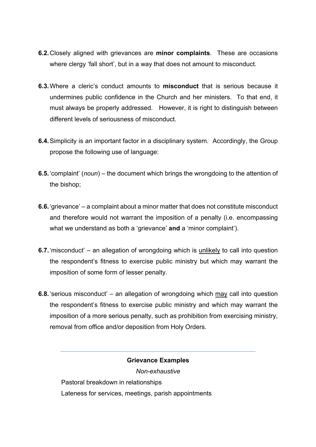- **6.2.**Closely aligned with grievances are **minor complaints**. These are occasions where clergy 'fall short', but in a way that does not amount to misconduct.
- **6.3.**Where a cleric's conduct amounts to **misconduct** that is serious because it undermines public confidence in the Church and her ministers. To that end, it must always be properly addressed. However, it is right to distinguish between different levels of seriousness of misconduct.
- **6.4.**Simplicity is an important factor in a disciplinary system. Accordingly, the Group propose the following use of language:
- **6.5.**'complaint' (*noun*) the document which brings the wrongdoing to the attention of the bishop;
- **6.6.** 'grievance' a complaint about a minor matter that does not constitute misconduct and therefore would not warrant the imposition of a penalty (i.e. encompassing what we understand as both a 'grievance' **and** a 'minor complaint').
- **6.7.**'misconduct' an allegation of wrongdoing which is unlikely to call into question the respondent's fitness to exercise public ministry but which may warrant the imposition of some form of lesser penalty.
- **6.8.**'serious misconduct' an allegation of wrongdoing which may call into question the respondent's fitness to exercise public ministry and which may warrant the imposition of a more serious penalty, such as prohibition from exercising ministry, removal from office and/or deposition from Holy Orders.

## **Grievance Examples**

*Non-exhaustive*

Pastoral breakdown in relationships Lateness for services, meetings, parish appointments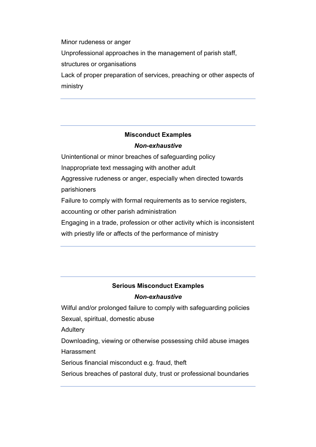Minor rudeness or anger Unprofessional approaches in the management of parish staff, structures or organisations Lack of proper preparation of services, preaching or other aspects of

ministry

## **Misconduct Examples** *Non-exhaustive*

Unintentional or minor breaches of safeguarding policy

Inappropriate text messaging with another adult

Aggressive rudeness or anger, especially when directed towards parishioners

Failure to comply with formal requirements as to service registers,

accounting or other parish administration

Engaging in a trade, profession or other activity which is inconsistent with priestly life or affects of the performance of ministry

# **Serious Misconduct Examples**

## *Non-exhaustive*

Wilful and/or prolonged failure to comply with safeguarding policies Sexual, spiritual, domestic abuse

**Adultery** 

Downloading, viewing or otherwise possessing child abuse images **Harassment** 

Serious financial misconduct e.g. fraud, theft

Serious breaches of pastoral duty, trust or professional boundaries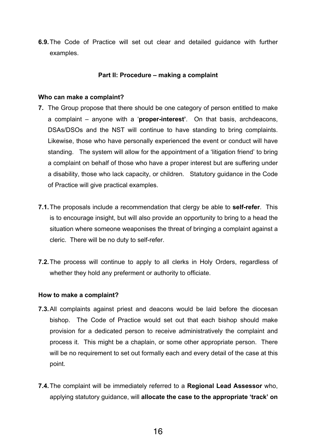**6.9.**The Code of Practice will set out clear and detailed guidance with further examples.

#### **Part II: Procedure – making a complaint**

#### **Who can make a complaint?**

- **7.** The Group propose that there should be one category of person entitled to make a complaint – anyone with a '**proper-interest'**. On that basis, archdeacons, DSAs/DSOs and the NST will continue to have standing to bring complaints. Likewise, those who have personally experienced the event or conduct will have standing. The system will allow for the appointment of a 'litigation friend' to bring a complaint on behalf of those who have a proper interest but are suffering under a disability, those who lack capacity, or children. Statutory guidance in the Code of Practice will give practical examples.
- **7.1.**The proposals include a recommendation that clergy be able to **self-refer**. This is to encourage insight, but will also provide an opportunity to bring to a head the situation where someone weaponises the threat of bringing a complaint against a cleric. There will be no duty to self-refer.
- **7.2.**The process will continue to apply to all clerks in Holy Orders, regardless of whether they hold any preferment or authority to officiate.

#### **How to make a complaint?**

- **7.3.**All complaints against priest and deacons would be laid before the diocesan bishop. The Code of Practice would set out that each bishop should make provision for a dedicated person to receive administratively the complaint and process it. This might be a chaplain, or some other appropriate person. There will be no requirement to set out formally each and every detail of the case at this point.
- **7.4.**The complaint will be immediately referred to a **Regional Lead Assessor** who, applying statutory guidance, will **allocate the case to the appropriate 'track' on**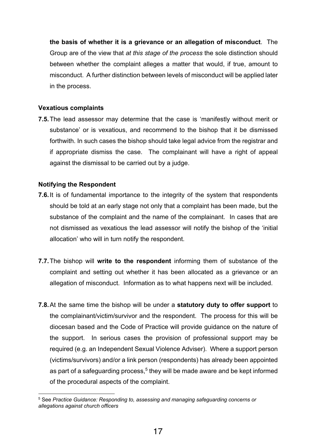**the basis of whether it is a grievance or an allegation of misconduct**. The Group are of the view that *at this stage of the process* the sole distinction should between whether the complaint alleges a matter that would, if true, amount to misconduct. A further distinction between levels of misconduct will be applied later in the process.

## **Vexatious complaints**

**7.5.**The lead assessor may determine that the case is 'manifestly without merit or substance' or is vexatious, and recommend to the bishop that it be dismissed forthwith. In such cases the bishop should take legal advice from the registrar and if appropriate dismiss the case. The complainant will have a right of appeal against the dismissal to be carried out by a judge.

## **Notifying the Respondent**

- **7.6.**It is of fundamental importance to the integrity of the system that respondents should be told at an early stage not only that a complaint has been made, but the substance of the complaint and the name of the complainant. In cases that are not dismissed as vexatious the lead assessor will notify the bishop of the 'initial allocation' who will in turn notify the respondent.
- **7.7.**The bishop will **write to the respondent** informing them of substance of the complaint and setting out whether it has been allocated as a grievance or an allegation of misconduct. Information as to what happens next will be included.
- **7.8.**At the same time the bishop will be under a **statutory duty to offer support** to the complainant/victim/survivor and the respondent. The process for this will be diocesan based and the Code of Practice will provide guidance on the nature of the support. In serious cases the provision of professional support may be required (e.g. an Independent Sexual Violence Adviser). Where a support person (victims/survivors) and/or a link person (respondents) has already been appointed as part of a safeguarding process, <sup>5</sup> they will be made aware and be kept informed of the procedural aspects of the complaint.

<sup>5</sup> See *Practice Guidance: Responding to, assessing and managing safeguarding concerns or allegations against church officers*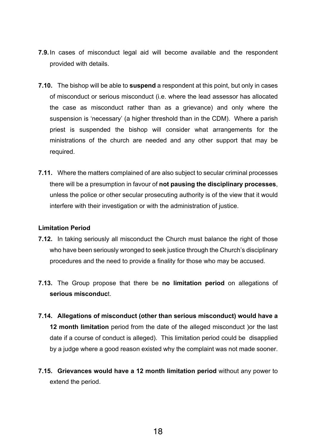- **7.9.**In cases of misconduct legal aid will become available and the respondent provided with details.
- **7.10.** The bishop will be able to **suspend** a respondent at this point, but only in cases of misconduct or serious misconduct (i.e. where the lead assessor has allocated the case as misconduct rather than as a grievance) and only where the suspension is 'necessary' (a higher threshold than in the CDM). Where a parish priest is suspended the bishop will consider what arrangements for the ministrations of the church are needed and any other support that may be required.
- **7.11.** Where the matters complained of are also subject to secular criminal processes there will be a presumption in favour of **not pausing the disciplinary processes**, unless the police or other secular prosecuting authority is of the view that it would interfere with their investigation or with the administration of justice.

#### **Limitation Period**

- **7.12.** In taking seriously all misconduct the Church must balance the right of those who have been seriously wronged to seek justice through the Church's disciplinary procedures and the need to provide a finality for those who may be accused.
- **7.13.** The Group propose that there be **no limitation period** on allegations of **serious misconduc**t.
- **7.14. Allegations of misconduct (other than serious misconduct) would have a 12 month limitation** period from the date of the alleged misconduct )or the last date if a course of conduct is alleged). This limitation period could be disapplied by a judge where a good reason existed why the complaint was not made sooner.
- **7.15. Grievances would have a 12 month limitation period** without any power to extend the period.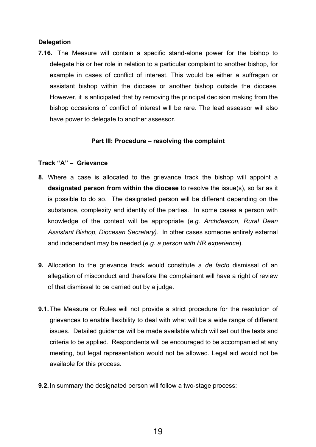#### **Delegation**

**7.16.** The Measure will contain a specific stand-alone power for the bishop to delegate his or her role in relation to a particular complaint to another bishop, for example in cases of conflict of interest. This would be either a suffragan or assistant bishop within the diocese or another bishop outside the diocese. However, it is anticipated that by removing the principal decision making from the bishop occasions of conflict of interest will be rare. The lead assessor will also have power to delegate to another assessor.

#### **Part III: Procedure – resolving the complaint**

## **Track "A" – Grievance**

- **8.** Where a case is allocated to the grievance track the bishop will appoint a **designated person from within the diocese** to resolve the issue(s), so far as it is possible to do so. The designated person will be different depending on the substance, complexity and identity of the parties. In some cases a person with knowledge of the context will be appropriate (*e.g. Archdeacon, Rural Dean Assistant Bishop, Diocesan Secretary).* In other cases someone entirely external and independent may be needed (*e.g. a person with HR experience*).
- **9.** Allocation to the grievance track would constitute a *de facto* dismissal of an allegation of misconduct and therefore the complainant will have a right of review of that dismissal to be carried out by a judge.
- **9.1.**The Measure or Rules will not provide a strict procedure for the resolution of grievances to enable flexibility to deal with what will be a wide range of different issues. Detailed guidance will be made available which will set out the tests and criteria to be applied. Respondents will be encouraged to be accompanied at any meeting, but legal representation would not be allowed. Legal aid would not be available for this process.
- **9.2.**In summary the designated person will follow a two-stage process: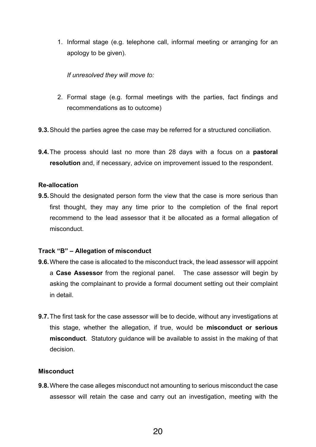1. Informal stage (e.g. telephone call, informal meeting or arranging for an apology to be given).

*If unresolved they will move to:*

- 2. Formal stage (e.g. formal meetings with the parties, fact findings and recommendations as to outcome)
- **9.3.**Should the parties agree the case may be referred for a structured conciliation.
- **9.4.**The process should last no more than 28 days with a focus on a **pastoral resolution** and, if necessary, advice on improvement issued to the respondent.

#### **Re-allocation**

**9.5.**Should the designated person form the view that the case is more serious than first thought, they may any time prior to the completion of the final report recommend to the lead assessor that it be allocated as a formal allegation of misconduct.

#### **Track "B" – Allegation of misconduct**

- **9.6.**Where the case is allocated to the misconduct track, the lead assessor will appoint a **Case Assessor** from the regional panel. The case assessor will begin by asking the complainant to provide a formal document setting out their complaint in detail.
- **9.7.**The first task for the case assessor will be to decide, without any investigations at this stage, whether the allegation, if true, would be **misconduct or serious misconduct**. Statutory guidance will be available to assist in the making of that decision.

#### **Misconduct**

**9.8.**Where the case alleges misconduct not amounting to serious misconduct the case assessor will retain the case and carry out an investigation, meeting with the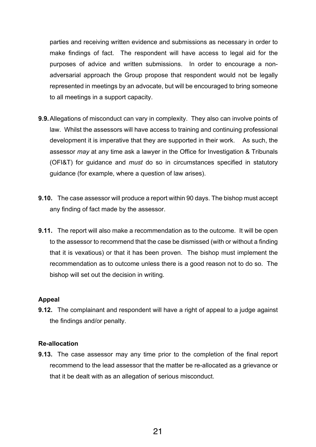parties and receiving written evidence and submissions as necessary in order to make findings of fact. The respondent will have access to legal aid for the purposes of advice and written submissions. In order to encourage a nonadversarial approach the Group propose that respondent would not be legally represented in meetings by an advocate, but will be encouraged to bring someone to all meetings in a support capacity.

- **9.9.**Allegations of misconduct can vary in complexity. They also can involve points of law. Whilst the assessors will have access to training and continuing professional development it is imperative that they are supported in their work. As such, the assessor *may* at any time ask a lawyer in the Office for Investigation & Tribunals (OFI&T) for guidance and *must* do so in circumstances specified in statutory guidance (for example, where a question of law arises).
- **9.10.** The case assessor will produce a report within 90 days. The bishop must accept any finding of fact made by the assessor.
- **9.11.** The report will also make a recommendation as to the outcome. It will be open to the assessor to recommend that the case be dismissed (with or without a finding that it is vexatious) or that it has been proven. The bishop must implement the recommendation as to outcome unless there is a good reason not to do so. The bishop will set out the decision in writing.

#### **Appeal**

**9.12.** The complainant and respondent will have a right of appeal to a judge against the findings and/or penalty.

#### **Re-allocation**

**9.13.** The case assessor may any time prior to the completion of the final report recommend to the lead assessor that the matter be re-allocated as a grievance or that it be dealt with as an allegation of serious misconduct.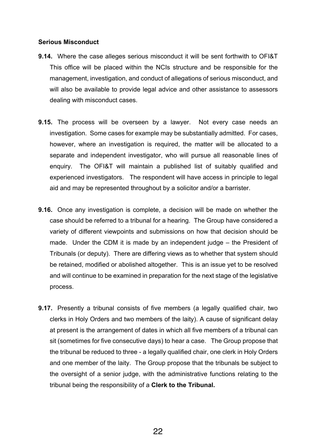#### **Serious Misconduct**

- **9.14.** Where the case alleges serious misconduct it will be sent forthwith to OFI&T This office will be placed within the NCIs structure and be responsible for the management, investigation, and conduct of allegations of serious misconduct, and will also be available to provide legal advice and other assistance to assessors dealing with misconduct cases.
- **9.15.** The process will be overseen by a lawyer. Not every case needs an investigation. Some cases for example may be substantially admitted. For cases, however, where an investigation is required, the matter will be allocated to a separate and independent investigator, who will pursue all reasonable lines of enquiry. The OFI&T will maintain a published list of suitably qualified and experienced investigators. The respondent will have access in principle to legal aid and may be represented throughout by a solicitor and/or a barrister.
- **9.16.** Once any investigation is complete, a decision will be made on whether the case should be referred to a tribunal for a hearing. The Group have considered a variety of different viewpoints and submissions on how that decision should be made. Under the CDM it is made by an independent judge – the President of Tribunals (or deputy). There are differing views as to whether that system should be retained, modified or abolished altogether. This is an issue yet to be resolved and will continue to be examined in preparation for the next stage of the legislative process.
- **9.17.** Presently a tribunal consists of five members (a legally qualified chair, two clerks in Holy Orders and two members of the laity). A cause of significant delay at present is the arrangement of dates in which all five members of a tribunal can sit (sometimes for five consecutive days) to hear a case. The Group propose that the tribunal be reduced to three - a legally qualified chair, one clerk in Holy Orders and one member of the laity. The Group propose that the tribunals be subject to the oversight of a senior judge, with the administrative functions relating to the tribunal being the responsibility of a **Clerk to the Tribunal.**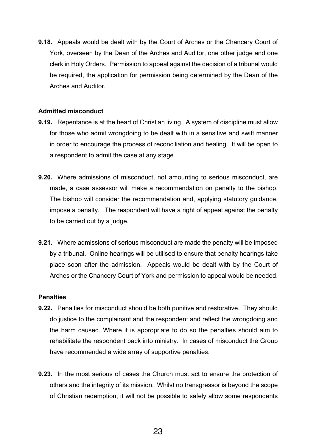**9.18.** Appeals would be dealt with by the Court of Arches or the Chancery Court of York, overseen by the Dean of the Arches and Auditor, one other judge and one clerk in Holy Orders. Permission to appeal against the decision of a tribunal would be required, the application for permission being determined by the Dean of the Arches and Auditor.

## **Admitted misconduct**

- **9.19.** Repentance is at the heart of Christian living. A system of discipline must allow for those who admit wrongdoing to be dealt with in a sensitive and swift manner in order to encourage the process of reconciliation and healing. It will be open to a respondent to admit the case at any stage.
- **9.20.** Where admissions of misconduct, not amounting to serious misconduct, are made, a case assessor will make a recommendation on penalty to the bishop. The bishop will consider the recommendation and, applying statutory guidance, impose a penalty. The respondent will have a right of appeal against the penalty to be carried out by a judge.
- **9.21.** Where admissions of serious misconduct are made the penalty will be imposed by a tribunal. Online hearings will be utilised to ensure that penalty hearings take place soon after the admission. Appeals would be dealt with by the Court of Arches or the Chancery Court of York and permission to appeal would be needed.

#### **Penalties**

- **9.22.** Penalties for misconduct should be both punitive and restorative. They should do justice to the complainant and the respondent and reflect the wrongdoing and the harm caused. Where it is appropriate to do so the penalties should aim to rehabilitate the respondent back into ministry. In cases of misconduct the Group have recommended a wide array of supportive penalties.
- **9.23.** In the most serious of cases the Church must act to ensure the protection of others and the integrity of its mission. Whilst no transgressor is beyond the scope of Christian redemption, it will not be possible to safely allow some respondents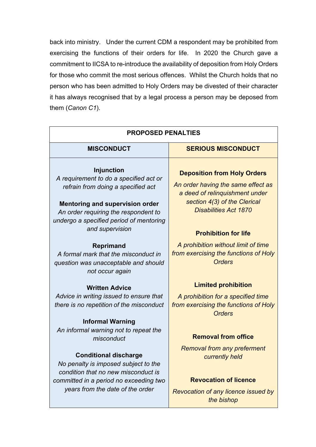back into ministry. Under the current CDM a respondent may be prohibited from exercising the functions of their orders for life. In 2020 the Church gave a commitment to IICSA to re-introduce the availability of deposition from Holy Orders for those who commit the most serious offences. Whilst the Church holds that no person who has been admitted to Holy Orders may be divested of their character it has always recognised that by a legal process a person may be deposed from them (*Canon C1*).

| <b>PROPOSED PENALTIES</b>                                                                                                                                                                                                      |                                                                                                                                                                            |  |  |  |
|--------------------------------------------------------------------------------------------------------------------------------------------------------------------------------------------------------------------------------|----------------------------------------------------------------------------------------------------------------------------------------------------------------------------|--|--|--|
| <b>MISCONDUCT</b>                                                                                                                                                                                                              | <b>SERIOUS MISCONDUCT</b>                                                                                                                                                  |  |  |  |
| <b>Injunction</b><br>A requirement to do a specified act or<br>refrain from doing a specified act<br><b>Mentoring and supervision order</b><br>An order requiring the respondent to<br>undergo a specified period of mentoring | <b>Deposition from Holy Orders</b><br>An order having the same effect as<br>a deed of relinquishment under<br>section 4(3) of the Clerical<br><b>Disabilities Act 1870</b> |  |  |  |
| and supervision                                                                                                                                                                                                                | <b>Prohibition for life</b>                                                                                                                                                |  |  |  |
| <b>Reprimand</b><br>A formal mark that the misconduct in<br>question was unacceptable and should<br>not occur again                                                                                                            | A prohibition without limit of time<br>from exercising the functions of Holy<br><b>Orders</b>                                                                              |  |  |  |
| <b>Written Advice</b>                                                                                                                                                                                                          | <b>Limited prohibition</b>                                                                                                                                                 |  |  |  |
| Advice in writing issued to ensure that<br>there is no repetition of the misconduct                                                                                                                                            | A prohibition for a specified time<br>from exercising the functions of Holy<br><b>Orders</b>                                                                               |  |  |  |
| <b>Informal Warning</b>                                                                                                                                                                                                        |                                                                                                                                                                            |  |  |  |
| An informal warning not to repeat the<br>misconduct                                                                                                                                                                            | <b>Removal from office</b>                                                                                                                                                 |  |  |  |
| <b>Conditional discharge</b><br>No penalty is imposed subject to the<br>condition that no new misconduct is                                                                                                                    | <b>Removal from any preferment</b><br>currently held                                                                                                                       |  |  |  |
| committed in a period no exceeding two<br>years from the date of the order                                                                                                                                                     | <b>Revocation of licence</b><br>Revocation of any licence issued by<br>the bishop                                                                                          |  |  |  |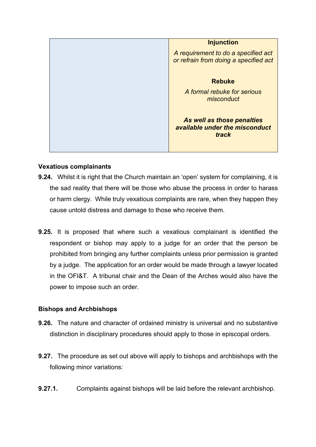|  | <b>Injunction</b>                                                            |  |
|--|------------------------------------------------------------------------------|--|
|  | A requirement to do a specified act<br>or refrain from doing a specified act |  |
|  | <b>Rebuke</b>                                                                |  |
|  | A formal rebuke for serious<br>misconduct                                    |  |
|  | As well as those penalties<br>available under the misconduct<br>track        |  |

## **Vexatious complainants**

- **9.24.** Whilst it is right that the Church maintain an 'open' system for complaining, it is the sad reality that there will be those who abuse the process in order to harass or harm clergy. While truly vexatious complaints are rare, when they happen they cause untold distress and damage to those who receive them.
- **9.25.** It is proposed that where such a vexatious complainant is identified the respondent or bishop may apply to a judge for an order that the person be prohibited from bringing any further complaints unless prior permission is granted by a judge. The application for an order would be made through a lawyer located in the OFI&T. A tribunal chair and the Dean of the Arches would also have the power to impose such an order.

## **Bishops and Archbishops**

- **9.26.** The nature and character of ordained ministry is universal and no substantive distinction in disciplinary procedures should apply to those in episcopal orders.
- **9.27.** The procedure as set out above will apply to bishops and archbishops with the following minor variations:
- **9.27.1.** Complaints against bishops will be laid before the relevant archbishop.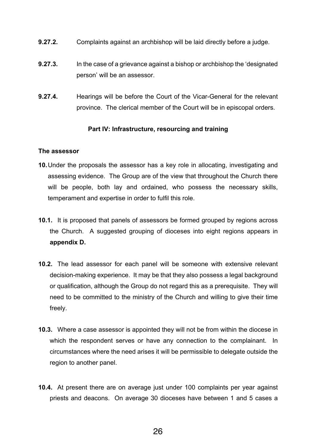- **9.27.2.** Complaints against an archbishop will be laid directly before a judge.
- **9.27.3.** In the case of a grievance against a bishop or archbishop the 'designated person' will be an assessor.
- **9.27.4.** Hearings will be before the Court of the Vicar-General for the relevant province. The clerical member of the Court will be in episcopal orders.

## **Part IV: Infrastructure, resourcing and training**

#### **The assessor**

- **10.**Under the proposals the assessor has a key role in allocating, investigating and assessing evidence. The Group are of the view that throughout the Church there will be people, both lay and ordained, who possess the necessary skills, temperament and expertise in order to fulfil this role.
- **10.1.** It is proposed that panels of assessors be formed grouped by regions across the Church. A suggested grouping of dioceses into eight regions appears in **appendix D.**
- **10.2.** The lead assessor for each panel will be someone with extensive relevant decision-making experience. It may be that they also possess a legal background or qualification, although the Group do not regard this as a prerequisite. They will need to be committed to the ministry of the Church and willing to give their time freely.
- **10.3.** Where a case assessor is appointed they will not be from within the diocese in which the respondent serves or have any connection to the complainant. In circumstances where the need arises it will be permissible to delegate outside the region to another panel.
- **10.4.** At present there are on average just under 100 complaints per year against priests and deacons. On average 30 dioceses have between 1 and 5 cases a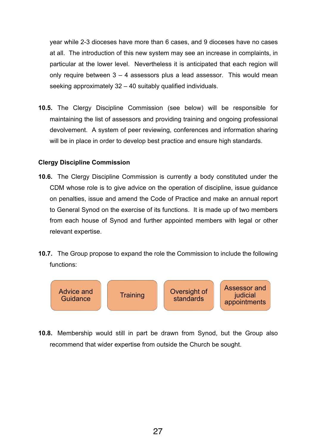year while 2-3 dioceses have more than 6 cases, and 9 dioceses have no cases at all. The introduction of this new system may see an increase in complaints, in particular at the lower level.Nevertheless it is anticipated that each region will only require between  $3 - 4$  assessors plus a lead assessor. This would mean seeking approximately 32 – 40 suitably qualified individuals.

**10.5.** The Clergy Discipline Commission (see below) will be responsible for maintaining the list of assessors and providing training and ongoing professional devolvement. A system of peer reviewing, conferences and information sharing will be in place in order to develop best practice and ensure high standards.

#### **Clergy Discipline Commission**

- **10.6.** The Clergy Discipline Commission is currently a body constituted under the CDM whose role is to give advice on the operation of discipline, issue guidance on penalties, issue and amend the Code of Practice and make an annual report to General Synod on the exercise of its functions. It is made up of two members from each house of Synod and further appointed members with legal or other relevant expertise.
- **10.7.** The Group propose to expand the role the Commission to include the following functions:



**10.8.** Membership would still in part be drawn from Synod, but the Group also recommend that wider expertise from outside the Church be sought.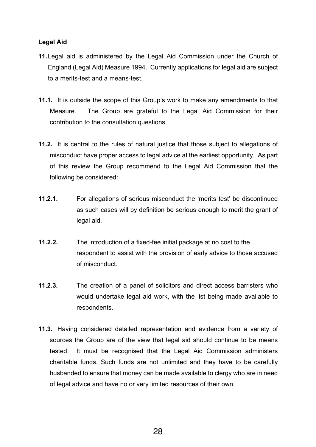## **Legal Aid**

- **11.**Legal aid is administered by the Legal Aid Commission under the Church of England (Legal Aid) Measure 1994. Currently applications for legal aid are subject to a merits-test and a means-test.
- **11.1.** It is outside the scope of this Group's work to make any amendments to that Measure. The Group are grateful to the Legal Aid Commission for their contribution to the consultation questions.
- **11.2.** It is central to the rules of natural justice that those subject to allegations of misconduct have proper access to legal advice at the earliest opportunity. As part of this review the Group recommend to the Legal Aid Commission that the following be considered:
- **11.2.1.** For allegations of serious misconduct the 'merits test' be discontinued as such cases will by definition be serious enough to merit the grant of legal aid.
- **11.2.2.** The introduction of a fixed-fee initial package at no cost to the respondent to assist with the provision of early advice to those accused of misconduct.
- **11.2.3.** The creation of a panel of solicitors and direct access barristers who would undertake legal aid work, with the list being made available to respondents.
- **11.3.** Having considered detailed representation and evidence from a variety of sources the Group are of the view that legal aid should continue to be means tested. It must be recognised that the Legal Aid Commission administers charitable funds. Such funds are not unlimited and they have to be carefully husbanded to ensure that money can be made available to clergy who are in need of legal advice and have no or very limited resources of their own.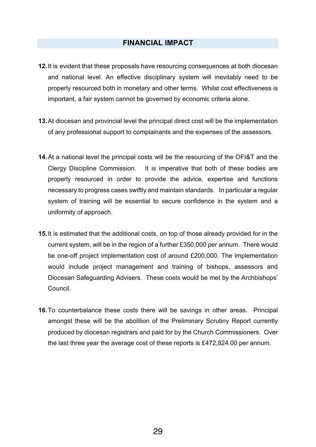## **FINANCIAL IMPACT**

- **12.**It is evident that these proposals have resourcing consequences at both diocesan and national level. An effective disciplinary system will inevitably need to be properly resourced both in monetary and other terms. Whilst cost effectiveness is important, a fair system cannot be governed by economic criteria alone.
- **13.**At diocesan and provincial level the principal direct cost will be the implementation of any professional support to complainants and the expenses of the assessors.
- **14.**At a national level the principal costs will be the resourcing of the OFI&T and the Clergy Discipline Commission. It is imperative that both of these bodies are properly resourced in order to provide the advice, expertise and functions necessary to progress cases swiftly and maintain standards. In particular a regular system of training will be essential to secure confidence in the system and a uniformity of approach.
- **15.**It is estimated that the additional costs, on top of those already provided for in the current system, will be in the region of a further £350,000 per annum. There would be one-off project implementation cost of around £200,000. The implementation would include project management and training of bishops, assessors and Diocesan Safeguarding Advisers. These costs would be met by the Archbishops' Council.
- **16.**To counterbalance these costs there will be savings in other areas. Principal amongst these will be the abolition of the Preliminary Scrutiny Report currently produced by diocesan registrars and paid for by the Church Commissioners. Over the last three year the average cost of these reports is £472,824.00 per annum.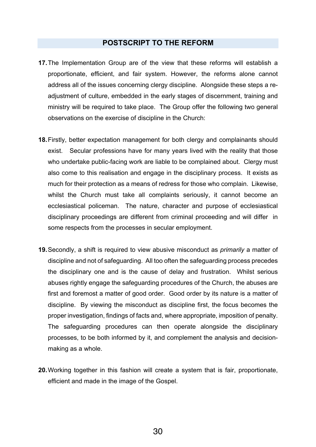## **POSTSCRIPT TO THE REFORM**

- **17.**The Implementation Group are of the view that these reforms will establish a proportionate, efficient, and fair system. However, the reforms alone cannot address all of the issues concerning clergy discipline. Alongside these steps a readjustment of culture, embedded in the early stages of discernment, training and ministry will be required to take place. The Group offer the following two general observations on the exercise of discipline in the Church:
- **18.**Firstly, better expectation management for both clergy and complainants should exist. Secular professions have for many years lived with the reality that those who undertake public-facing work are liable to be complained about. Clergy must also come to this realisation and engage in the disciplinary process. It exists as much for their protection as a means of redress for those who complain. Likewise, whilst the Church must take all complaints seriously, it cannot become an ecclesiastical policeman. The nature, character and purpose of ecclesiastical disciplinary proceedings are different from criminal proceeding and will differ in some respects from the processes in secular employment.
- **19.**Secondly, a shift is required to view abusive misconduct as *primarily* a matter of discipline and not of safeguarding. All too often the safeguarding process precedes the disciplinary one and is the cause of delay and frustration. Whilst serious abuses rightly engage the safeguarding procedures of the Church, the abuses are first and foremost a matter of good order. Good order by its nature is a matter of discipline. By viewing the misconduct as discipline first, the focus becomes the proper investigation, findings of facts and, where appropriate, imposition of penalty. The safeguarding procedures can then operate alongside the disciplinary processes, to be both informed by it, and complement the analysis and decisionmaking as a whole.
- **20.**Working together in this fashion will create a system that is fair, proportionate, efficient and made in the image of the Gospel.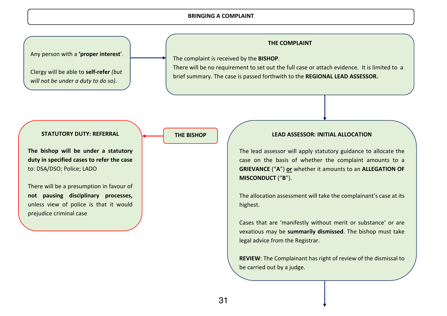#### **BRINGING A COMPLAINT**

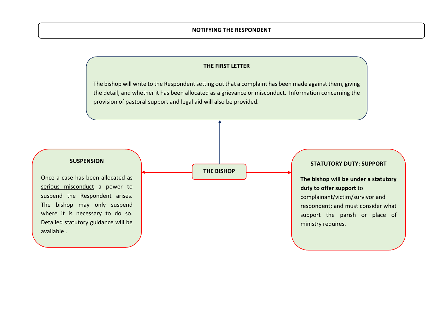#### **NOTIFYING THE RESPONDENT**

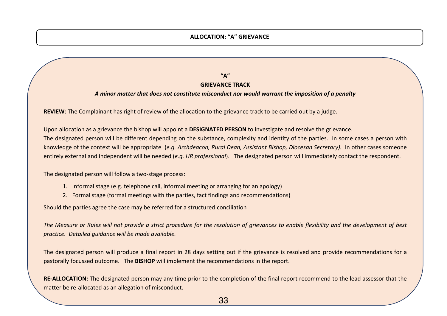#### **ALLOCATION: "A" GRIEVANCE**

**"A" GRIEVANCE TRACK**

#### *A minor matter that does not constitute misconduct nor would warrant the imposition of a penalty*

**REVIEW**: The Complainant has right of review of the allocation to the grievance track to be carried out by a judge.

Upon allocation as a grievance the bishop will appoint a **DESIGNATED PERSON** to investigate and resolve the grievance. The designated person will be different depending on the substance, complexity and identity of the parties. In some cases a person with knowledge of the context will be appropriate (*e.g. Archdeacon, Rural Dean, Assistant Bishop, Diocesan Secretary).* In other cases someone entirely external and independent will be needed (*e.g. HR professional*). The designated person will immediately contact the respondent.

The designated person will follow a two-stage process:

- 1. Informal stage (e.g. telephone call, informal meeting or arranging for an apology)
- 2. Formal stage (formal meetings with the parties, fact findings and recommendations)

Should the parties agree the case may be referred for a structured conciliation

*The Measure or Rules will not provide a strict procedure for the resolution of grievances to enable flexibility and the development of best practice. Detailed guidance will be made available.*

The designated person will produce a final report in 28 days setting out if the grievance is resolved and provide recommendations for a pastorally focussed outcome. The **BISHOP** will implement the recommendations in the report.

**RE-ALLOCATION:** The designated person may any time prior to the completion of the final report recommend to the lead assessor that the matter be re-allocated as an allegation of misconduct.

33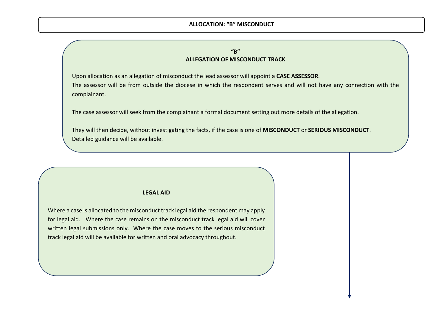#### **ALLOCATION: "B" MISCONDUCT**

#### **"B" ALLEGATION OF MISCONDUCT TRACK**

Upon allocation as an allegation of misconduct the lead assessor will appoint a **CASE ASSESSOR**. The assessor will be from outside the diocese in which the respondent serves and will not have any connection with the complainant.

The case assessor will seek from the complainant a formal document setting out more details of the allegation.

They will then decide, without investigating the facts, if the case is one of **MISCONDUCT** or **SERIOUS MISCONDUCT**. Detailed guidance will be available.

#### **LEGAL AID**

Where a case is allocated to the misconduct track legal aid the respondent may apply for legal aid. Where the case remains on the misconduct track legal aid will cover written legal submissions only. Where the case moves to the serious misconduct track legal aid will be available for written and oral advocacy throughout.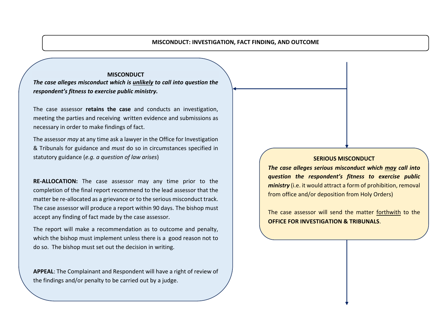#### **MISCONDUCT: INVESTIGATION, FACT FINDING, AND OUTCOME**

#### **MISCONDUCT**

*The case alleges misconduct which is unlikely to call into question the respondent's fitness to exercise public ministry.* 

The case assessor **retains the case** and conducts an investigation, meeting the parties and receiving written evidence and submissions as necessary in order to make findings of fact.

The assessor *may* at any time ask a lawyer in the Office for Investigation & Tribunals for guidance and *must* do so in circumstances specified in statutory guidance (*e.g. a question of law arises*)

**RE-ALLOCATION:** The case assessor may any time prior to the completion of the final report recommend to the lead assessor that the matter be re-allocated as a grievance or to the serious misconduct track. The case assessor will produce a report within 90 days. The bishop must accept any finding of fact made by the case assessor.

The report will make a recommendation as to outcome and penalty, which the bishop must implement unless there is a good reason not to do so. The bishop must set out the decision in writing.

**APPEAL**: The Complainant and Respondent will have a right of review of the findings and/or penalty to be carried out by a judge.

#### **SERIOUS MISCONDUCT**

*The case alleges serious misconduct which may call into question the respondent's fitness to exercise public ministry* (i.e. it would attract a form of prohibition, removal from office and/or deposition from Holy Orders)

The case assessor will send the matter forthwith to the **OFFICE FOR INVESTIGATION & TRIBUNALS**.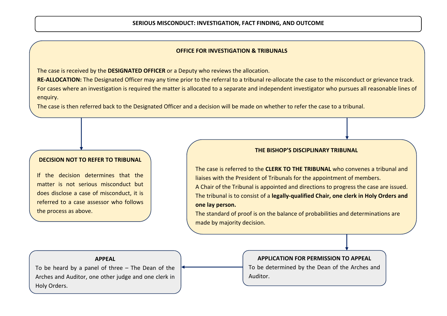#### **OFFICE FOR INVESTIGATION & TRIBUNALS**

The case is received by the **DESIGNATED OFFICER** or a Deputy who reviews the allocation.

**RE-ALLOCATION:** The Designated Officer may any time prior to the referral to a tribunal re-allocate the case to the misconduct or grievance track. For cases where an investigation is required the matter is allocated to a separate and independent investigator who pursues all reasonable lines of enquiry.

The case is then referred back to the Designated Officer and a decision will be made on whether to refer the case to a tribunal.

#### **DECISION NOT TO REFER TO TRIBUNAL**

L

If the decision determines that the matter is not serious misconduct but does disclose a case of misconduct, it is referred to a case assessor who follows the process as above.

#### **THE BISHOP'S DISCIPLINARY TRIBUNAL**

The case is referred to the **CLERK TO THE TRIBUNAL** who convenes a tribunal and liaises with the President of Tribunals for the appointment of members. A Chair of the Tribunal is appointed and directions to progress the case are issued. The tribunal is to consist of a **legally-qualified Chair, one clerk in Holy Orders and one lay person.** 

The standard of proof is on the balance of probabilities and determinations are made by majority decision.

#### **APPEAL**

To be heard by a panel of three – The Dean of the Arches and Auditor, one other judge and one clerk in Holy Orders.

#### **APPLICATION FOR PERMISSION TO APPEAL**

To be determined by the Dean of the Arches and Auditor.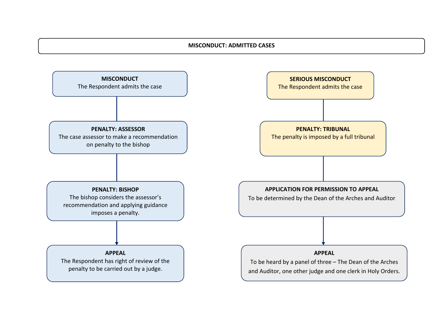#### ] **MISCONDUCT: ADMITTED CASES**

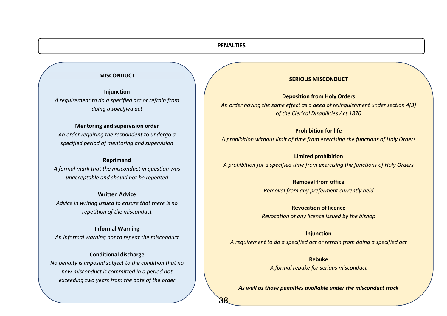#### **PENALTIES**

38

#### **MISCONDUCT**

**Injunction** *A requirement to do a specified act or refrain from doing a specified act*

#### **Mentoring and supervision order**

*An order requiring the respondent to undergo a specified period of mentoring and supervision*

#### **Reprimand**

*A formal mark that the misconduct in question was unacceptable and should not be repeated*

#### **Written Advice**

*Advice in writing issued to ensure that there is no repetition of the misconduct*

**Informal Warning** *An informal warning not to repeat the misconduct*

#### **Conditional discharge**

*No penalty is imposed subject to the condition that no new misconduct is committed in a period not exceeding two years from the date of the order*

#### **SERIOUS MISCONDUCT**

**Deposition from Holy Orders** *An order having the same effect as a deed of relinquishment under section 4(3) of the Clerical Disabilities Act 1870*

**Prohibition for life**

*A prohibition without limit of time from exercising the functions of Holy Orders*

**Limited prohibition** *A prohibition for a specified time from exercising the functions of Holy Orders*

> **Removal from office** *Removal from any preferment currently held*

**Revocation of licence** *Revocation of any licence issued by the bishop*

**Injunction** *A requirement to do a specified act or refrain from doing a specified act*

> **Rebuke** *A formal rebuke for serious misconduct*

*As well as those penalties available under the misconduct track*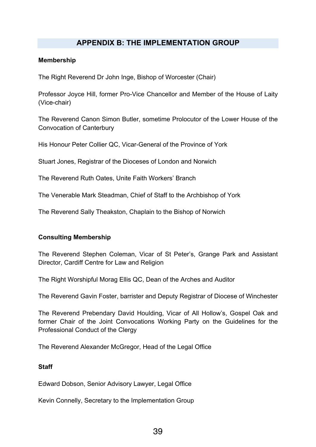## **APPENDIX B: THE IMPLEMENTATION GROUP**

#### **Membership**

The Right Reverend Dr John Inge, Bishop of Worcester (Chair)

Professor Joyce Hill, former Pro-Vice Chancellor and Member of the House of Laity (Vice-chair)

The Reverend Canon Simon Butler, sometime Prolocutor of the Lower House of the Convocation of Canterbury

His Honour Peter Collier QC, Vicar-General of the Province of York

Stuart Jones, Registrar of the Dioceses of London and Norwich

The Reverend Ruth Oates, Unite Faith Workers' Branch

The Venerable Mark Steadman, Chief of Staff to the Archbishop of York

The Reverend Sally Theakston, Chaplain to the Bishop of Norwich

#### **Consulting Membership**

The Reverend Stephen Coleman, Vicar of St Peter's, Grange Park and Assistant Director, Cardiff Centre for Law and Religion

The Right Worshipful Morag Ellis QC, Dean of the Arches and Auditor

The Reverend Gavin Foster, barrister and Deputy Registrar of Diocese of Winchester

The Reverend Prebendary David Houlding, Vicar of All Hollow's, Gospel Oak and former Chair of the Joint Convocations Working Party on the Guidelines for the Professional Conduct of the Clergy

The Reverend Alexander McGregor, Head of the Legal Office

#### **Staff**

Edward Dobson, Senior Advisory Lawyer, Legal Office

Kevin Connelly, Secretary to the Implementation Group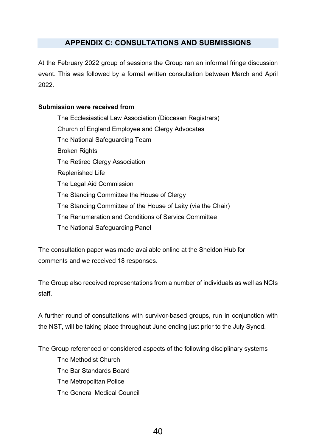## **APPENDIX C: CONSULTATIONS AND SUBMISSIONS**

At the February 2022 group of sessions the Group ran an informal fringe discussion event. This was followed by a formal written consultation between March and April 2022.

## **Submission were received from**

The Ecclesiastical Law Association (Diocesan Registrars) Church of England Employee and Clergy Advocates The National Safeguarding Team Broken Rights The Retired Clergy Association Replenished Life The Legal Aid Commission The Standing Committee the House of Clergy The Standing Committee of the House of Laity (via the Chair) The Renumeration and Conditions of Service Committee The National Safeguarding Panel

The consultation paper was made available online at the Sheldon Hub for comments and we received 18 responses.

The Group also received representations from a number of individuals as well as NCIs staff.

A further round of consultations with survivor-based groups, run in conjunction with the NST, will be taking place throughout June ending just prior to the July Synod.

The Group referenced or considered aspects of the following disciplinary systems The Methodist Church The Bar Standards Board The Metropolitan Police The General Medical Council